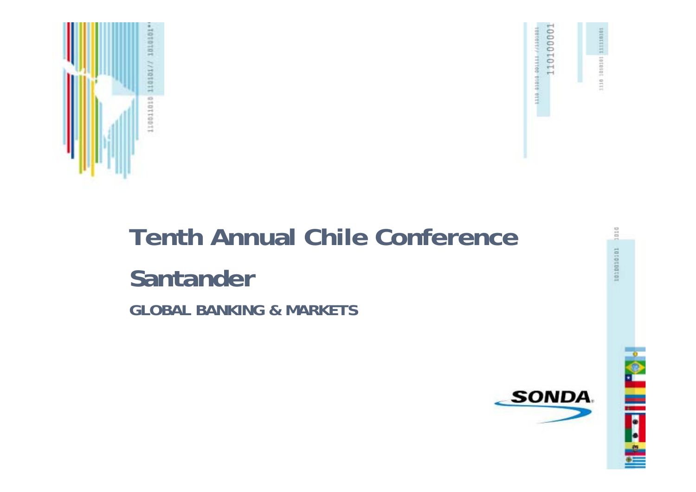



1110 1010101

# **Tenth Annual Chile Conference Santander GLOBAL BANKING & MARKETS**

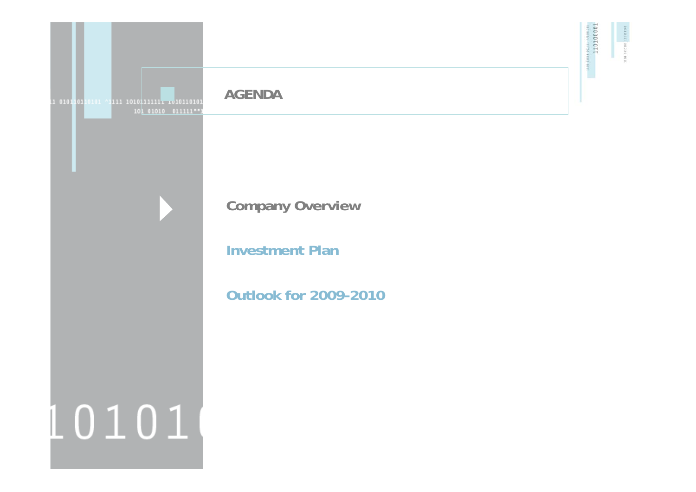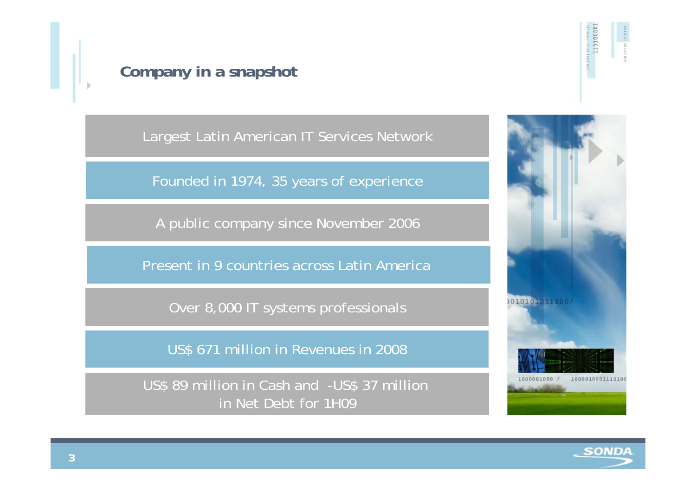

Largest Latin American IT Services Network

Founded in 1974, 35 years of experience

A public company since November 2006

Present in 9 countries across Latin America

Over 8,000 IT systems professionals

US\$ 671 million in Revenues in 2008

US\$ 89 million in Cash and -US\$ 37 million in Net Debt for 1H09



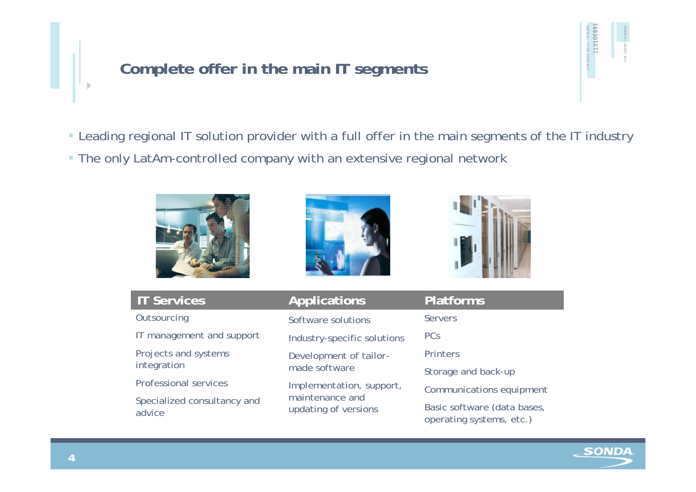# **Complete offer in the main IT segments**

Leading regional IT solution provider with a full offer in the main segments of the IT industry

The only LatAm-controlled company with an extensive regional network







| <b>IT Services</b>                    | <b>Applications</b>                     | <b>Platforms</b>                                        |  |  |
|---------------------------------------|-----------------------------------------|---------------------------------------------------------|--|--|
| Outsourcing                           | Software solutions                      | <b>Servers</b>                                          |  |  |
| IT management and support             | Industry-specific solutions             | <b>PCs</b>                                              |  |  |
| Projects and systems                  | Development of tailor-<br>made software | Printers                                                |  |  |
| integration                           |                                         | Storage and back-up                                     |  |  |
| <b>Professional services</b>          | Implementation, support,                | Communications equipment                                |  |  |
| Specialized consultancy and<br>advice | maintenance and<br>updating of versions | Basic software (data bases,<br>operating systems, etc.) |  |  |

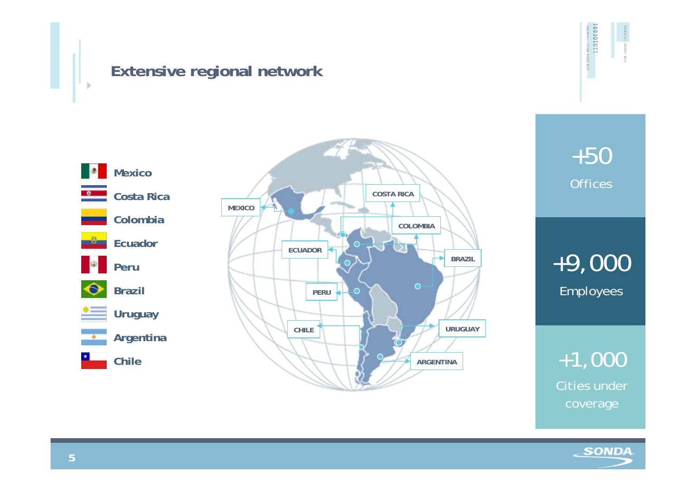### **Extensive regional network**





+50 **Offices** 

+9,000 Employees

+1,000 Cities under coverage

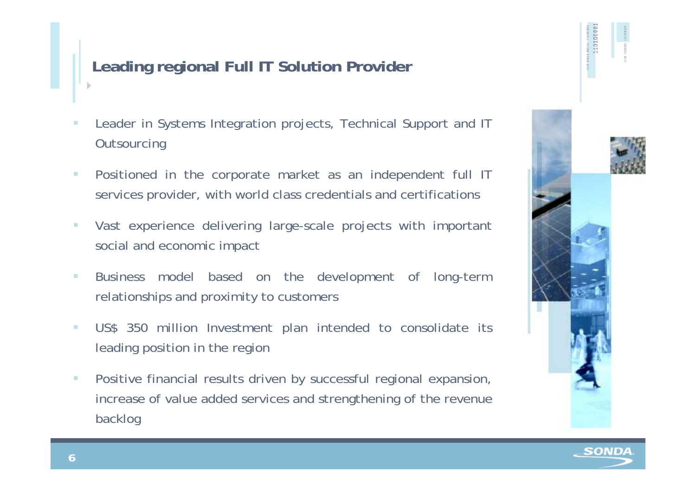# **Leading regional Full IT Solution Provider**

- Leader in Systems Integration projects, Technical Support and IT **Outsourcing**
- $\mathcal{L}_{\mathcal{A}}$  Positioned in the corporate market as an independent full IT services provider, with world class credentials and certifications
- Vast experience delivering large-scale projects with important social and economic impact
- $\mathbf{r}$  Business model based on the development of long-term relationships and proximity to customers
- $\mathcal{L}_{\mathcal{A}}$  US\$ 350 million Investment plan intended to consolidate its leading position in the region
- $\mathcal{L}_{\mathcal{A}}$  Positive financial results driven by successful regional expansion, increase of value added services and strengthening of the revenue backlog



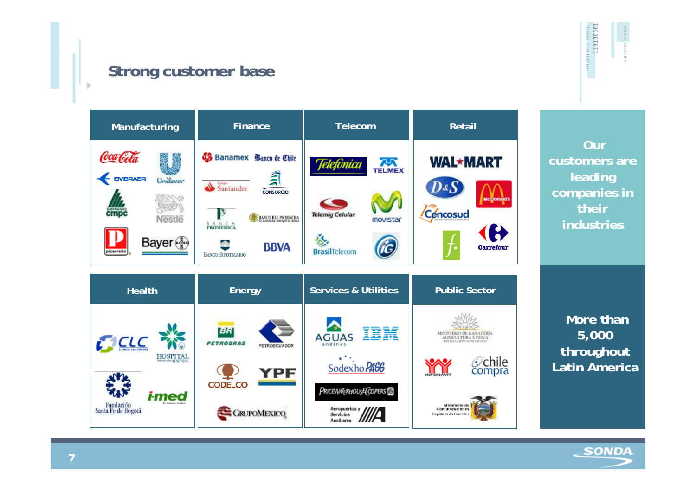# **Strong customer base**



110100001

**Our customers are leading companies in their industries**

**More than 5,000 throughout Latin America**

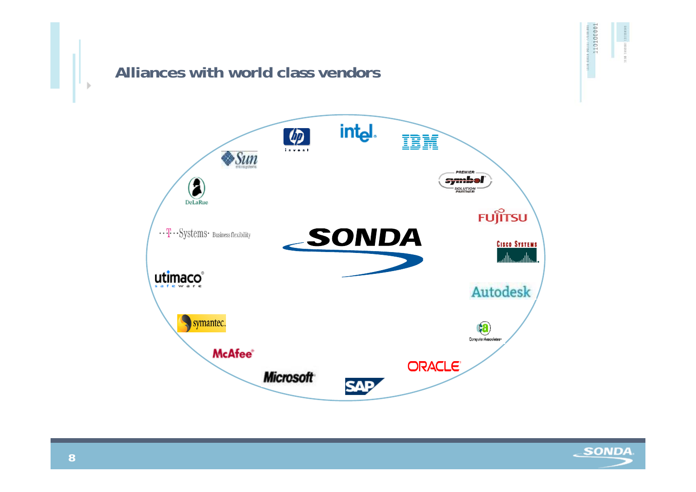# **Alliances with world class vendors**





10 1010101 1111110101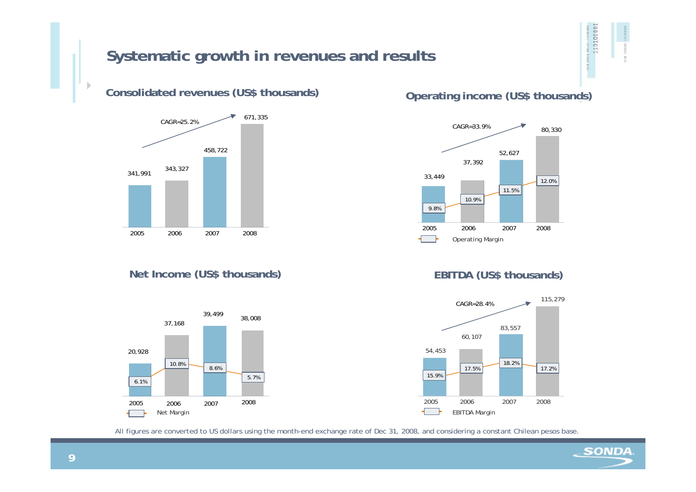### **Systematic growth in revenues and results**

#### **Consolidated revenues (US\$ thousands) Operating income (US\$ thousands)**



#### Net Income (US\$ thousands) **EBITDA** (US\$ thousands)







All figures are converted to US dollars using the month-end exchange rate of Dec 31, 2008, and considering a constant Chilean pesos base.

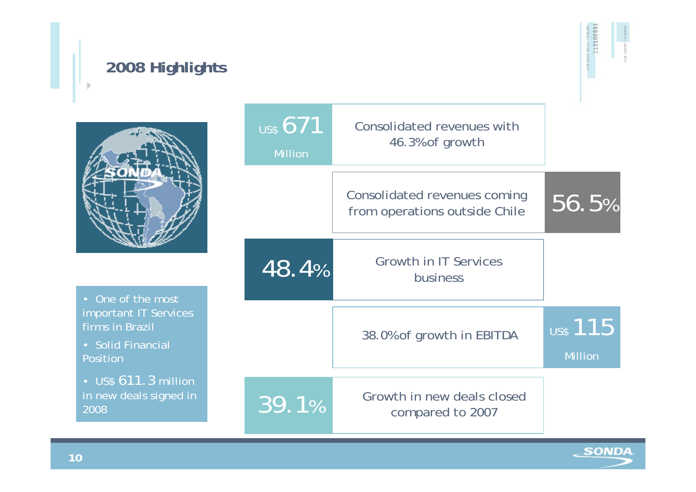# **2008 Highlights**



110100011



• One of the most important IT Services firms in Brazil

• Solid Financial Position

 $2008$ • US\$ 611.3 million in new deals signed in

| $\overline{\mathsf{u}}$ ss 671<br><b>Million</b> | Consolidated revenues with<br>46.3% of growth                 |                                   |
|--------------------------------------------------|---------------------------------------------------------------|-----------------------------------|
|                                                  | Consolidated revenues coming<br>from operations outside Chile | 56.5%                             |
| 48.4%                                            | <b>Growth in IT Services</b><br>business                      |                                   |
|                                                  | 38.0% of growth in EBITDA                                     | <b>US\$</b> 115<br><b>Million</b> |
| 39.1%                                            | Growth in new deals closed<br>compared to 2007                |                                   |

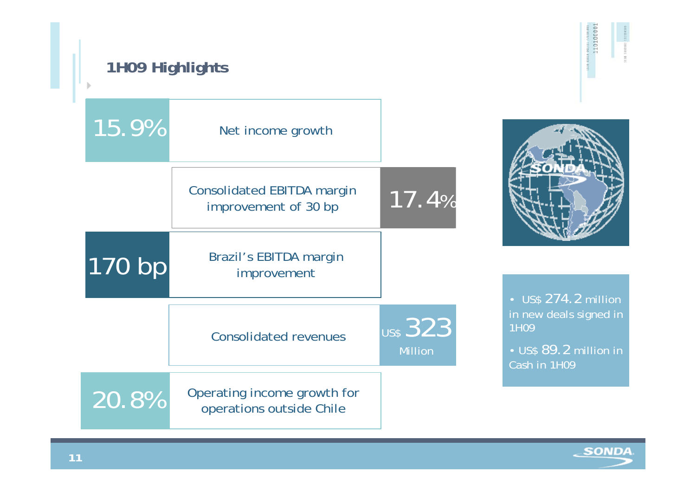# **1H09 Highlights**





11010000

• US\$ 274.2 million in new deals signed in 1H09

• US\$ 89.2 million in Cash in 1H09

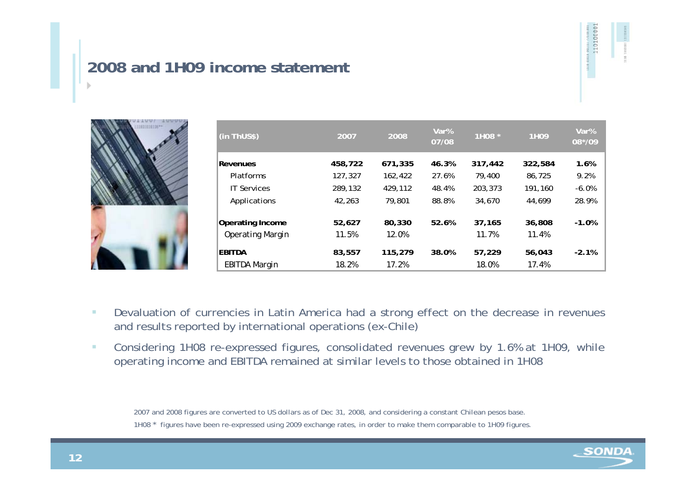# **2008 and 1H09 income statement**



| (in ThUS\$)             | 2007    | 2008    | Var%<br>07/08 | 1H08 *  | 1H09    | Var%<br>08*/09 |
|-------------------------|---------|---------|---------------|---------|---------|----------------|
| Revenues                | 458,722 | 671,335 | 46.3%         | 317,442 | 322,584 | 1.6%           |
| <b>Platforms</b>        | 127,327 | 162,422 | 27.6%         | 79,400  | 86,725  | 9.2%           |
| <b>IT Services</b>      | 289,132 | 429,112 | 48.4%         | 203,373 | 191.160 | $-6.0%$        |
| Applications            | 42.263  | 79,801  | 88.8%         | 34,670  | 44,699  | 28.9%          |
| <b>Operating Income</b> | 52,627  | 80,330  | 52.6%         | 37,165  | 36,808  | $-1.0%$        |
| <b>Operating Margin</b> | 11.5%   | 12.0%   |               | 11.7%   | 11.4%   |                |
| EBITDA                  | 83,557  | 115,279 | 38.0%         | 57,229  | 56,043  | $-2.1%$        |
| EBITDA Margin           | 18.2%   | 17.2%   |               | 18.0%   | 17.4%   |                |

- ٠ Devaluation of currencies in Latin America had a strong effect on the decrease in revenues and results reported by international operations (ex-Chile)
- a. Considering 1H08 re-expressed figures, consolidated revenues grew by 1.6% at 1H09, while operating income and EBITDA remained at similar levels to those obtained in 1H08

2007 and 2008 figures are converted to US dollars as of Dec 31, 2008, and considering a constant Chilean pesos base.

1H08 \* figures have been re-expressed using 2009 exchange rates, in order to make them comparable to 1H09 figures.

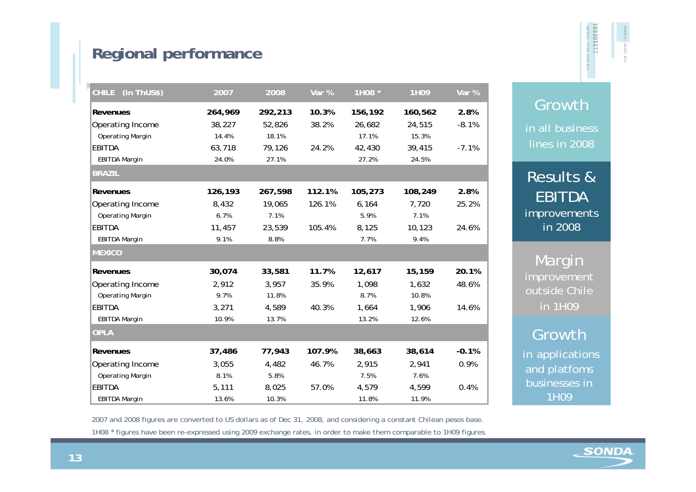# **Regional performance**

| (in ThUS\$)<br><b>CHILE</b> | 2007    | 2008    | Var %  | 1H08 *  | 1H09    | Var $%$ |
|-----------------------------|---------|---------|--------|---------|---------|---------|
| Revenues                    | 264,969 | 292,213 | 10.3%  | 156,192 | 160,562 | 2.8%    |
| Operating Income            | 38,227  | 52,826  | 38.2%  | 26,682  | 24,515  | $-8.1%$ |
| <b>Operating Margin</b>     | 14.4%   | 18.1%   |        | 17.1%   | 15.3%   |         |
| <b>EBITDA</b>               | 63,718  | 79,126  | 24.2%  | 42,430  | 39,415  | $-7.1%$ |
| <b>EBITDA Margin</b>        | 24.0%   | 27.1%   |        | 27.2%   | 24.5%   |         |
| <b>BRAZIL</b>               |         |         |        |         |         |         |
| Revenues                    | 126,193 | 267,598 | 112.1% | 105,273 | 108,249 | 2.8%    |
| Operating Income            | 8,432   | 19,065  | 126.1% | 6,164   | 7,720   | 25.2%   |
| <b>Operating Margin</b>     | 6.7%    | 7.1%    |        | 5.9%    | 7.1%    |         |
| EBITDA                      | 11,457  | 23,539  | 105.4% | 8,125   | 10,123  | 24.6%   |
| <b>EBITDA Margin</b>        | 9.1%    | 8.8%    |        | 7.7%    | 9.4%    |         |
| <b>MEXICO</b>               |         |         |        |         |         |         |
| Revenues                    | 30,074  | 33,581  | 11.7%  | 12,617  | 15,159  | 20.1%   |
| Operating Income            | 2,912   | 3,957   | 35.9%  | 1,098   | 1,632   | 48.6%   |
| <b>Operating Margin</b>     | 9.7%    | 11.8%   |        | 8.7%    | 10.8%   |         |
| <b>EBITDA</b>               | 3,271   | 4,589   | 40.3%  | 1,664   | 1,906   | 14.6%   |
| <b>EBITDA Margin</b>        | 10.9%   | 13.7%   |        | 13.2%   | 12.6%   |         |
| <b>OPLA</b>                 |         |         |        |         |         |         |
| Revenues                    | 37,486  | 77,943  | 107.9% | 38,663  | 38,614  | $-0.1%$ |
| Operating Income            | 3,055   | 4,482   | 46.7%  | 2,915   | 2,941   | 0.9%    |
| <b>Operating Margin</b>     | 8.1%    | 5.8%    |        | 7.5%    | 7.6%    |         |
| EBITDA                      | 5,111   | 8,025   | 57.0%  | 4,579   | 4,599   | 0.4%    |
| <b>EBITDA Margin</b>        | 13.6%   | 10.3%   |        | 11.8%   | 11.9%   |         |

Growth in all business lines in 2008

11010001

Results & EBITDA improvements in 2008

**Margin** improvement outside Chile in 1H09

#### Growth

in applications and platfoms businesses in 1H09

2007 and 2008 figures are converted to US dollars as of Dec 31, 2008, and considering a constant Chilean pesos base.

1H08 \* figures have been re-expressed using 2009 exchange rates, in order to make them comparable to 1H09 figures.

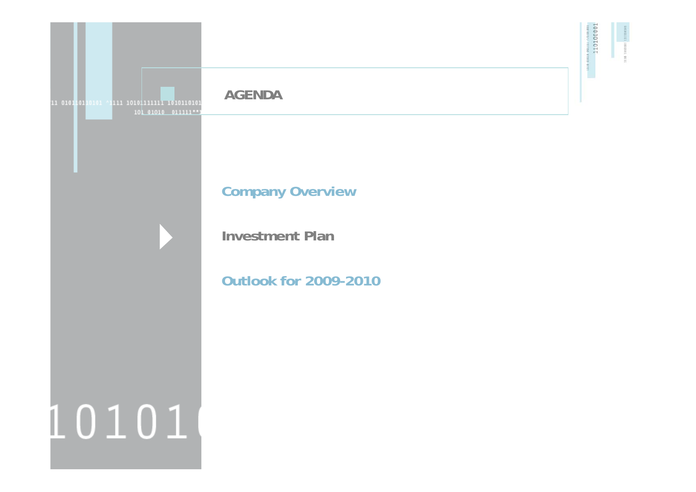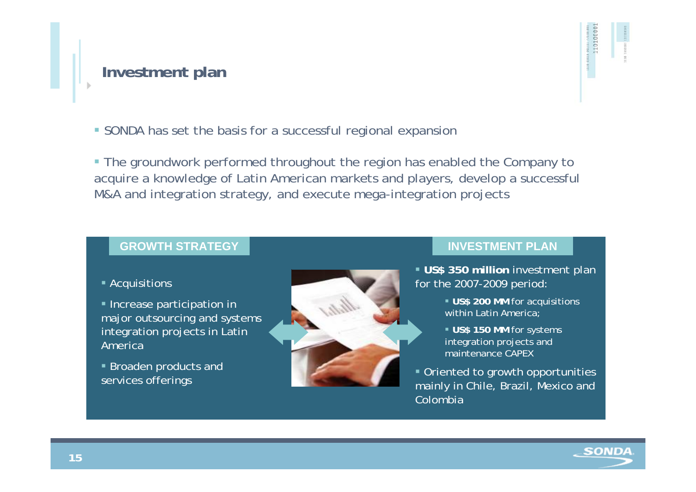#### **Investment plan**

11010000

SONDA has set the basis for a successful regional expansion

 The groundwork performed throughout the region has enabled the Company to acquire a knowledge of Latin American markets and players, develop a successful M&A and integration strategy, and execute mega-integration projects

#### **GROWTH STRATEGY**

#### Acquisitions

**Increase participation in** major outsourcing and systems integration projects in Latin America

 Broaden products and services offerings



#### **INVESTMENT PLAN**

 **US\$ 350 million** investment plan for the 2007-2009 period:

- **US\$ 200 MM** for acquisitions within Latin America;
- **US\$ 150 MM** for systems integration projects and maintenance CAPEX
- Oriented to growth opportunities mainly in Chile, Brazil, Mexico and Colombia

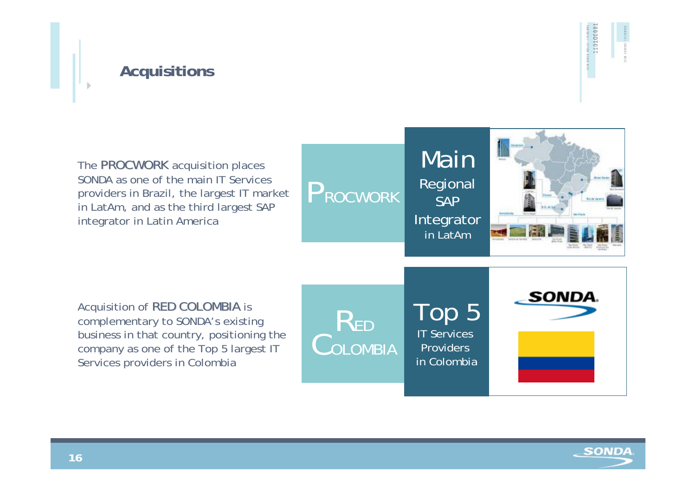

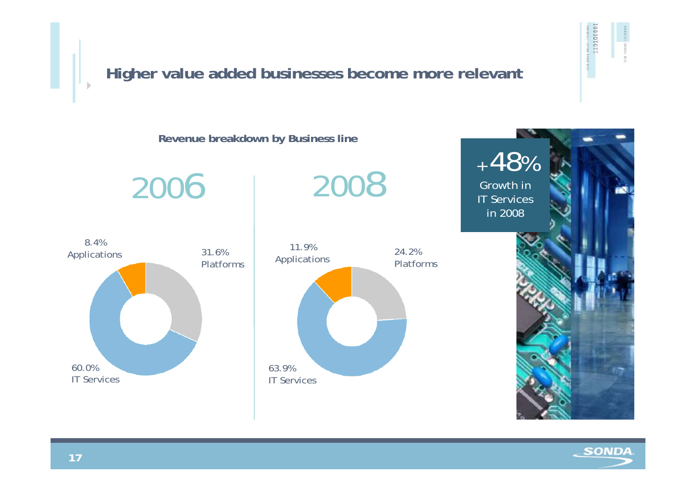

SONDA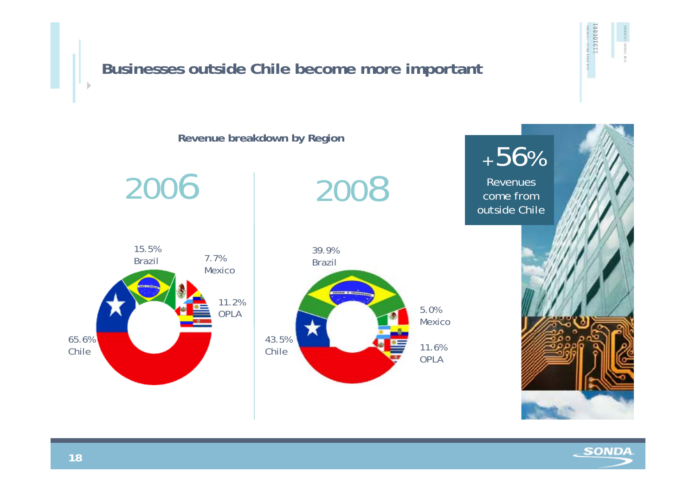#### 110100001 **Businesses outside Chile become more important Revenue breakdown by Region** + 56% 2006 2008 Revenues come from outside Chile15.5%39.9%7.7%Brazil Brazil Mexico11.2% 5.0%OPLAMexico65.6%43.5%11.6%ChileChileOPLA

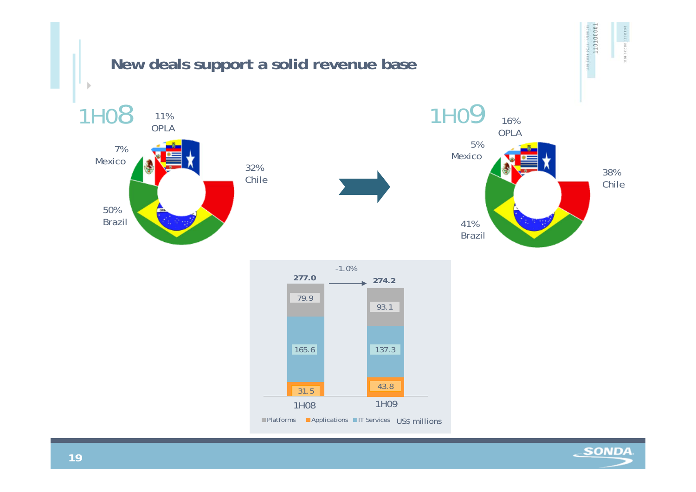

 $\epsilon$ SONDA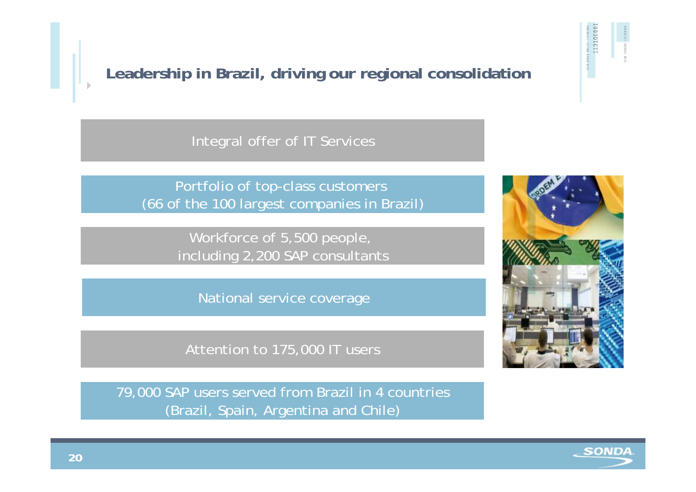**SONDA** 

**Leadership in Brazil, driving our regional consolidation**

Integral offer of IT Services

Portfolio of top-class customers (66 of the 100 largest companies in Brazil)

> Workforce of 5,500 people, including 2,200 SAP consultants

National service coverage

Attention to 175,000 IT users

79,000 SAP users served from Brazil in 4 countries (Brazil, Spain, Argentina and Chile)



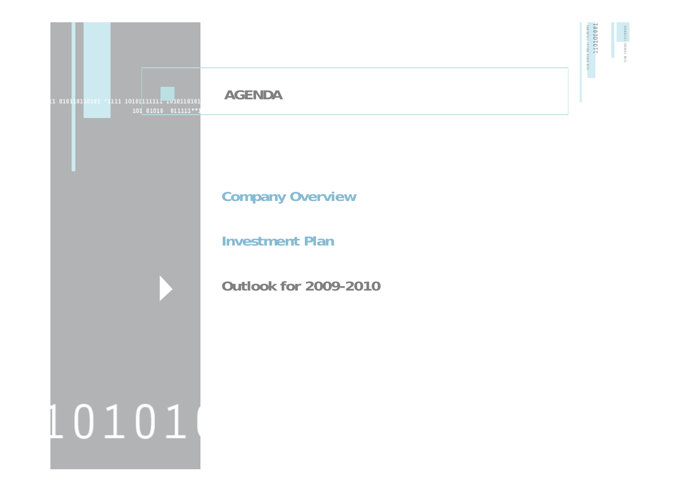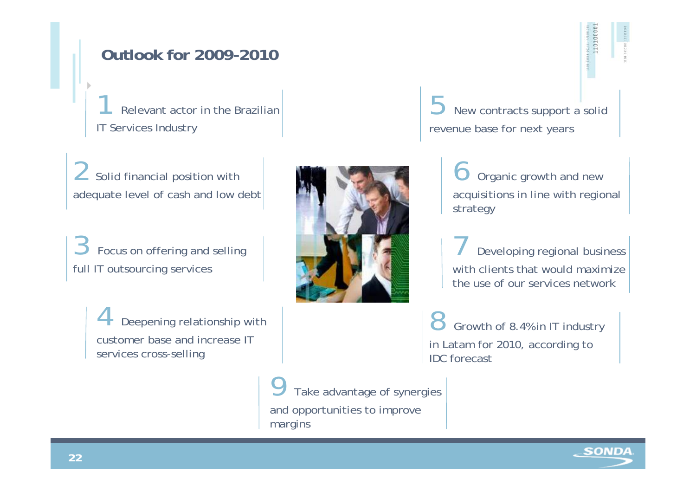## **Outlook for 2009-2010**

Relevant actor in the Brazilian IT Services Industry

Solid financial position with adequate level of cash and low debt

Focus on offering and selling full IT outsourcing services

> Deepening relationship with customer base and increase IT services cross-selling



New contracts support a solid revenue base for next years

> Organic growth and new acquisitions in line with regional strategy

Developing regional business with clients that would maximize the use of our services network

8 Growth of 8.4% in IT industry in Latam for 2010, according to IDC forecast

Take advantage of synergies and opportunities to improve margins